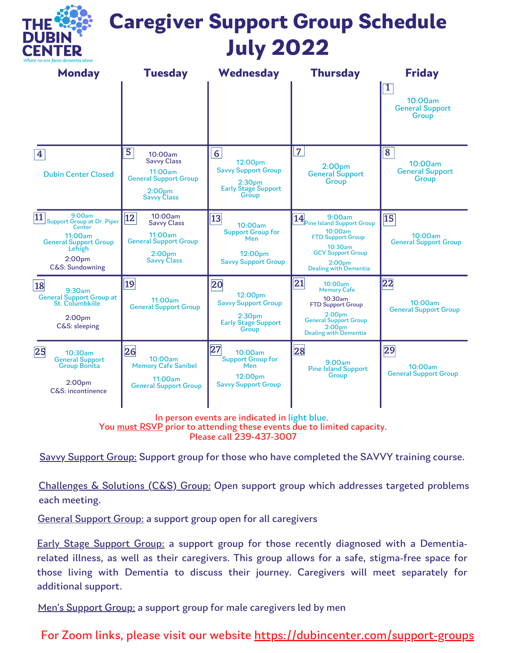

# **Caregiver Support Group Schedule July 2022**

| <b>Monday</b>                                                                                                                                             | <b>Tuesday</b>                                                                                                               | Wednesday                                                                                                            | <b>Thursday</b>                                                                                                                                                                  | <b>Friday</b>                                                |
|-----------------------------------------------------------------------------------------------------------------------------------------------------------|------------------------------------------------------------------------------------------------------------------------------|----------------------------------------------------------------------------------------------------------------------|----------------------------------------------------------------------------------------------------------------------------------------------------------------------------------|--------------------------------------------------------------|
|                                                                                                                                                           |                                                                                                                              |                                                                                                                      |                                                                                                                                                                                  | $\overline{1}$<br>10:00am<br><b>General Support</b><br>Group |
| 4<br><b>Dubin Center Closed</b>                                                                                                                           | 5<br>10:00am<br><b>Savvy Class</b><br>11:00am<br><b>General Support Group</b><br>2:00 <sub>pm</sub><br><b>Savvy Class</b>    | $6\phantom{a}$<br>12:00pm<br><b>Savvy Support Group</b><br>2:30 <sub>pm</sub><br><b>Early Stage Support</b><br>Group | $\overline{7}$<br>2:00 <sub>pm</sub><br><b>General Support</b><br>Group                                                                                                          | 8<br>10:00am<br><b>General Support</b><br>Group              |
| 9:00am<br>11<br><b>Support Group at Dr. Piper</b><br>Center<br>11:00am<br><b>General Support Group</b><br>Lehigh<br>2:00 <sub>pm</sub><br>C&S: Sundowning | 10:00am<br> 12 <br><b>Savvy Class</b><br>11:00am<br><b>General Support Group</b><br>2:00 <sub>pm</sub><br><b>Savvy Class</b> | 13<br>10:00am<br><b>Support Group for</b><br>Men<br>12:00pm<br><b>Savvy Support Group</b>                            | 14 B: UUam Stranger School<br>10:00am<br><b>FTD Support Group</b><br>$10:30$ am<br><b>GCV Support Group</b><br>2:00 <sub>pm</sub><br>Dealing with Dementia                       | $\overline{15}$<br>10:00am<br><b>General Support Group</b>   |
| 18<br>$9:30$ am<br><b>General Support Group at</b><br>St. Columbkille<br>2:00 <sub>pm</sub><br>C&S: sleeping                                              | 19 <br>11:00am<br><b>General Support Group</b>                                                                               | 20<br>12:00pm<br><b>Savvy Support Group</b><br>2:30 <sub>pm</sub><br><b>Early Stage Support</b><br>Group             | 21 <br>10:00am<br><b>Memory Cafe</b><br>10:30am<br><b>FTD Support Group</b><br>2:00 <sub>pm</sub><br><b>General Support Group</b><br>2:00 <sub>pm</sub><br>Dealing with Dementia | 22<br>10:00am<br><b>General Support Group</b>                |
| 25<br>10:30am<br><b>General Support</b><br><b>Group Bonita</b><br>2:00 <sub>pm</sub><br>C&S: incontinence                                                 | 26<br>10:00am<br><b>Memory Cafe Sanibel</b><br>11:00am<br><b>General Support Group</b>                                       | $\overline{27}$<br>10:00am<br><b>Support Group for</b><br>Men<br>12:00pm<br><b>Savvy Support Group</b>               | 28<br>9:00am<br><b>Pine Island Support</b><br>Group                                                                                                                              | 29<br>10:00am<br><b>General Support Group</b>                |

In person events are indicated in light blue. You must RSVP prior to attending these events due to limited capacity. Please call 239-437-3007

Savvy Support Group: Support group for those who have completed the SAVVY training course.

Challenges & Solutions (C&S) Group: Open support group which addresses targeted problems each meeting.

General Support Group: a support group open for all caregivers

Early Stage Support Group: a support group for those recently diagnosed with a Dementiarelated illness, as well as their caregivers. This group allows for a safe, stigma-free space for those living with Dementia to discuss their journey. Caregivers will meet separately for additional support.

Men's Support Group: a support group for male caregivers led by men

For Zoom links, please visit our website <https://dubincenter.com/support-groups>